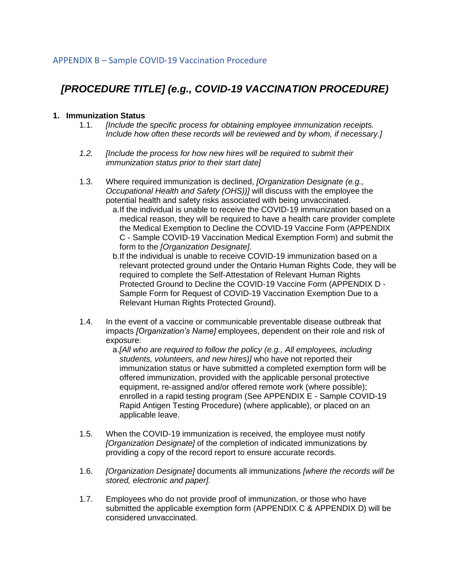## *[PROCEDURE TITLE] (e.g., COVID-19 VACCINATION PROCEDURE)*

## **1. Immunization Status**

- 1.1. *[Include the specific process for obtaining employee immunization receipts. Include how often these records will be reviewed and by whom, if necessary.]*
- *1.2. [Include the process for how new hires will be required to submit their immunization status prior to their start date]*
- 1.3. Where required immunization is declined, *[Organization Designate (e.g., Occupational Health and Safety (OHS))]* will discuss with the employee the potential health and safety risks associated with being unvaccinated.
	- a.If the individual is unable to receive the COVID-19 immunization based on a medical reason, they will be required to have a health care provider complete the Medical Exemption to Decline the COVID-19 Vaccine Form (APPENDIX C - Sample COVID-19 Vaccination Medical Exemption Form) and submit the form to the *[Organization Designate].*
	- b.If the individual is unable to receive COVID-19 immunization based on a relevant protected ground under the Ontario Human Rights Code, they will be required to complete the Self-Attestation of Relevant Human Rights Protected Ground to Decline the COVID-19 Vaccine Form (APPENDIX D - Sample Form for Request of COVID-19 Vaccination Exemption Due to a Relevant Human Rights Protected Ground).
- 1.4. In the event of a vaccine or communicable preventable disease outbreak that impacts *[Organization's Name]* employees, dependent on their role and risk of exposure:
	- a.*[All who are required to follow the policy (e.g., All employees, including students, volunteers, and new hires)]* who have not reported their immunization status or have submitted a completed exemption form will be offered immunization, provided with the applicable personal protective equipment, re-assigned and/or offered remote work (where possible); enrolled in a rapid testing program (See APPENDIX E - Sample COVID-19 Rapid Antigen Testing Procedure) (where applicable), or placed on an applicable leave.
- 1.5. When the COVID-19 immunization is received, the employee must notify *[Organization Designate]* of the completion of indicated immunizations by providing a copy of the record report to ensure accurate records.
- 1.6. *[Organization Designate]* documents all immunizations *[where the records will be stored, electronic and paper].*
- 1.7. Employees who do not provide proof of immunization, or those who have submitted the applicable exemption form (APPENDIX C & APPENDIX D) will be considered unvaccinated.